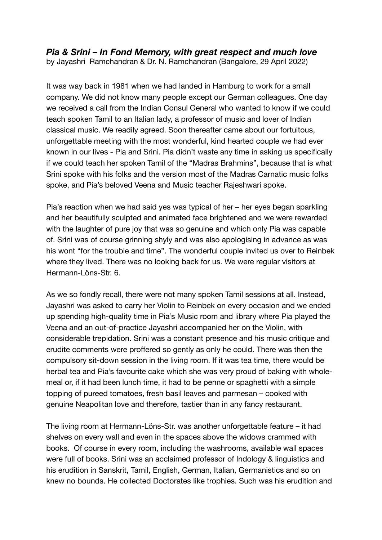## *Pia & Srini – In Fond Memory, with great respect and much love*

by Jayashri Ramchandran & Dr. N. Ramchandran (Bangalore, 29 April 2022)

It was way back in 1981 when we had landed in Hamburg to work for a small company. We did not know many people except our German colleagues. One day we received a call from the Indian Consul General who wanted to know if we could teach spoken Tamil to an Italian lady, a professor of music and lover of Indian classical music. We readily agreed. Soon thereafter came about our fortuitous, unforgettable meeting with the most wonderful, kind hearted couple we had ever known in our lives - Pia and Srini. Pia didn't waste any time in asking us specifically if we could teach her spoken Tamil of the "Madras Brahmins", because that is what Srini spoke with his folks and the version most of the Madras Carnatic music folks spoke, and Pia's beloved Veena and Music teacher Rajeshwari spoke.

Pia's reaction when we had said yes was typical of her – her eyes began sparkling and her beautifully sculpted and animated face brightened and we were rewarded with the laughter of pure joy that was so genuine and which only Pia was capable of. Srini was of course grinning shyly and was also apologising in advance as was his wont "for the trouble and time". The wonderful couple invited us over to Reinbek where they lived. There was no looking back for us. We were regular visitors at Hermann-Löns-Str. 6.

As we so fondly recall, there were not many spoken Tamil sessions at all. Instead, Jayashri was asked to carry her Violin to Reinbek on every occasion and we ended up spending high-quality time in Pia's Music room and library where Pia played the Veena and an out-of-practice Jayashri accompanied her on the Violin, with considerable trepidation. Srini was a constant presence and his music critique and erudite comments were proffered so gently as only he could. There was then the compulsory sit-down session in the living room. If it was tea time, there would be herbal tea and Pia's favourite cake which she was very proud of baking with wholemeal or, if it had been lunch time, it had to be penne or spaghetti with a simple topping of pureed tomatoes, fresh basil leaves and parmesan – cooked with genuine Neapolitan love and therefore, tastier than in any fancy restaurant.

The living room at Hermann-Löns-Str. was another unforgettable feature – it had shelves on every wall and even in the spaces above the widows crammed with books. Of course in every room, including the washrooms, available wall spaces were full of books. Srini was an acclaimed professor of Indology & linguistics and his erudition in Sanskrit, Tamil, English, German, Italian, Germanistics and so on knew no bounds. He collected Doctorates like trophies. Such was his erudition and